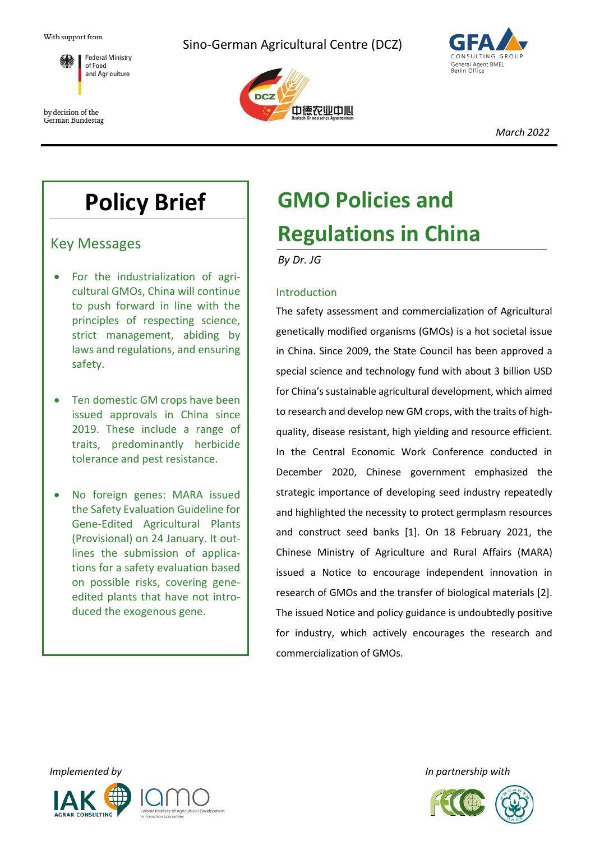

by decision of the German Bundestag Sino-German Agricultural Centre (DCZ)





*March 2022*

## **Policy Brief**

Key Messages

- For the industrialization of agricultural GMOs, China will continue to push forward in line with the principles of respecting science, strict management, abiding by laws and regulations, and ensuring safety.
- Ten domestic GM crops have been issued approvals in China since 2019. These include a range of traits, predominantly herbicide tolerance and pest resistance.
- No foreign genes: MARA issued the Safety Evaluation Guideline for Gene-Edited Agricultural Plants (Provisional) on 24 January. It outlines the submission of applications for a safety evaluation based on possible risks, covering geneedited plants that have not introduced the exogenous gene.

# **GMO Policies and Regulations in China**

*By Dr. JG*

### Introduction

The safety assessment and commercialization of Agricultural genetically modified organisms (GMOs) is a hot societal issue in China. Since 2009, the State Council has been approved a special science and technology fund with about 3 billion USD for China's sustainable agricultural development, which aimed to research and develop new GM crops, with the traits of highquality, disease resistant, high yielding and resource efficient. In the Central Economic Work Conference conducted in December 2020, Chinese government emphasized the strategic importance of developing seed industry repeatedly and highlighted the necessity to protect germplasm resources and construct seed banks [1]. On 18 February 2021, the Chinese Ministry of Agriculture and Rural Affairs (MARA) issued a Notice to encourage independent innovation in research of GMOs and the transfer of biological materials [2]. The issued Notice and policy guidance is undoubtedly positive for industry, which actively encourages the research and commercialization of GMOs.



*Implemented by In partnership with*

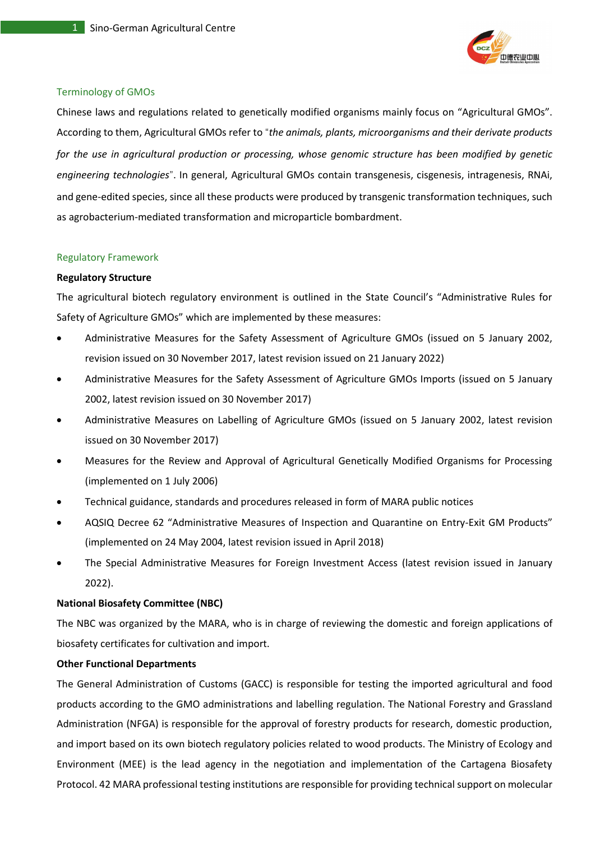

#### Terminology of GMOs

Chinese laws and regulations related to genetically modified organisms mainly focus on "Agricultural GMOs". According to them, Agricultural GMOs refer to "*the animals, plants, microorganisms and their derivate products for the use in agricultural production or processing, whose genomic structure has been modified by genetic engineering technologies*". In general, Agricultural GMOs contain transgenesis, cisgenesis, intragenesis, RNAi, and gene-edited species, since all these products were produced by transgenic transformation techniques, such as agrobacterium-mediated transformation and microparticle bombardment.

#### Regulatory Framework

#### **Regulatory Structure**

The agricultural biotech regulatory environment is outlined in the State Council's "Administrative Rules for Safety of Agriculture GMOs" which are implemented by these measures:

- Administrative Measures for the Safety Assessment of Agriculture GMOs (issued on 5 January 2002, revision issued on 30 November 2017, latest revision issued on 21 January 2022)
- Administrative Measures for the Safety Assessment of Agriculture GMOs Imports (issued on 5 January 2002, latest revision issued on 30 November 2017)
- Administrative Measures on Labelling of Agriculture GMOs (issued on 5 January 2002, latest revision issued on 30 November 2017)
- Measures for the Review and Approval of Agricultural Genetically Modified Organisms for Processing (implemented on 1 July 2006)
- Technical guidance, standards and procedures released in form of MARA public notices
- AQSIQ Decree 62 "Administrative Measures of Inspection and Quarantine on Entry-Exit GM Products" (implemented on 24 May 2004, latest revision issued in April 2018)
- The Special Administrative Measures for Foreign Investment Access (latest revision issued in January 2022).

#### **National Biosafety Committee (NBC)**

The NBC was organized by the MARA, who is in charge of reviewing the domestic and foreign applications of biosafety certificates for cultivation and import.

#### **Other Functional Departments**

The General Administration of Customs (GACC) is responsible for testing the imported agricultural and food products according to the GMO administrations and labelling regulation. The National Forestry and Grassland Administration (NFGA) is responsible for the approval of forestry products for research, domestic production, and import based on its own biotech regulatory policies related to wood products. The Ministry of Ecology and Environment (MEE) is the lead agency in the negotiation and implementation of the Cartagena Biosafety Protocol. 42 MARA professional testing institutions are responsible for providing technical support on molecular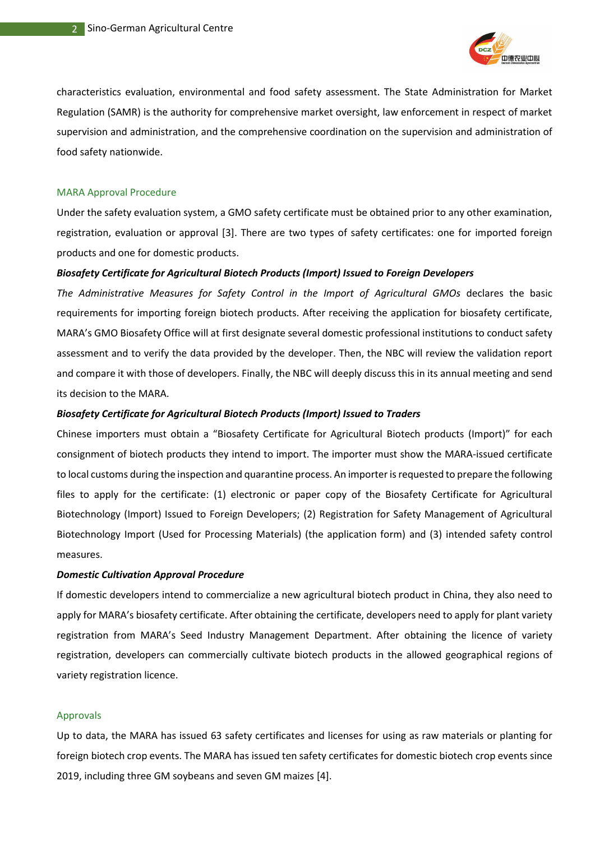

characteristics evaluation, environmental and food safety assessment. The State Administration for Market Regulation (SAMR) is the authority for comprehensive market oversight, law enforcement in respect of market supervision and administration, and the comprehensive coordination on the supervision and administration of food safety nationwide.

#### MARA Approval Procedure

Under the safety evaluation system, a GMO safety certificate must be obtained prior to any other examination, registration, evaluation or approval [3]. There are two types of safety certificates: one for imported foreign products and one for domestic products.

#### *Biosafety Certificate for Agricultural Biotech Products (Import) Issued to Foreign Developers*

*The Administrative Measures for Safety Control in the Import of Agricultural GMOs* declares the basic requirements for importing foreign biotech products. After receiving the application for biosafety certificate, MARA's GMO Biosafety Office will at first designate several domestic professional institutions to conduct safety assessment and to verify the data provided by the developer. Then, the NBC will review the validation report and compare it with those of developers. Finally, the NBC will deeply discuss this in its annual meeting and send its decision to the MARA.

#### *Biosafety Certificate for Agricultural Biotech Products (Import) Issued to Traders*

Chinese importers must obtain a "Biosafety Certificate for Agricultural Biotech products (Import)" for each consignment of biotech products they intend to import. The importer must show the MARA-issued certificate to local customs during the inspection and quarantine process. An importer is requested to prepare the following files to apply for the certificate: (1) electronic or paper copy of the Biosafety Certificate for Agricultural Biotechnology (Import) Issued to Foreign Developers; (2) Registration for Safety Management of Agricultural Biotechnology Import (Used for Processing Materials) (the application form) and (3) intended safety control measures.

#### *Domestic Cultivation Approval Procedure*

If domestic developers intend to commercialize a new agricultural biotech product in China, they also need to apply for MARA's biosafety certificate. After obtaining the certificate, developers need to apply for plant variety registration from MARA's Seed Industry Management Department. After obtaining the licence of variety registration, developers can commercially cultivate biotech products in the allowed geographical regions of variety registration licence.

#### Approvals

Up to data, the MARA has issued 63 safety certificates and licenses for using as raw materials or planting for foreign biotech crop events. The MARA has issued ten safety certificates for domestic biotech crop events since 2019, including three GM soybeans and seven GM maizes [4].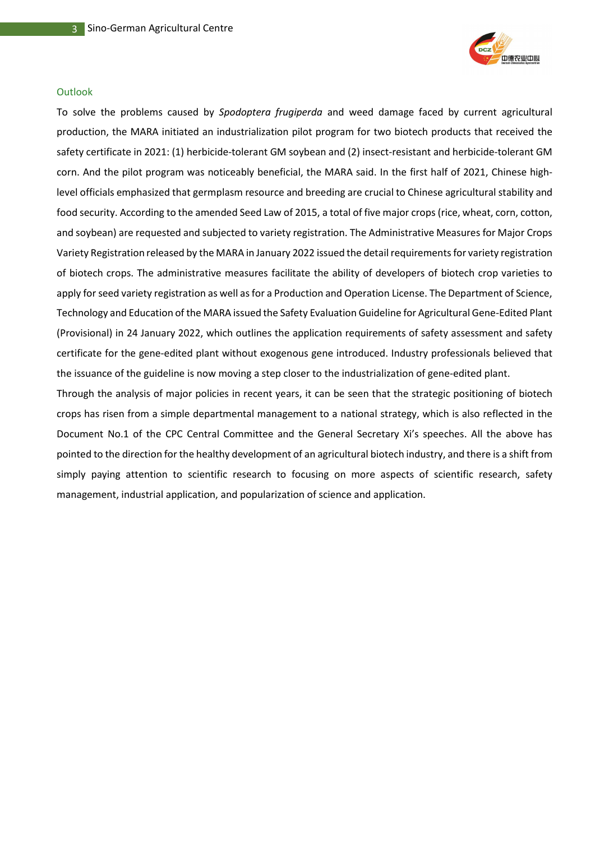

#### **Outlook**

To solve the problems caused by *Spodoptera frugiperda* and weed damage faced by current agricultural production, the MARA initiated an industrialization pilot program for two biotech products that received the safety certificate in 2021: (1) herbicide-tolerant GM soybean and (2) insect-resistant and herbicide-tolerant GM corn. And the pilot program was noticeably beneficial, the MARA said. In the first half of 2021, Chinese highlevel officials emphasized that germplasm resource and breeding are crucial to Chinese agricultural stability and food security. According to the amended Seed Law of 2015, a total of five major crops (rice, wheat, corn, cotton, and soybean) are requested and subjected to variety registration. The Administrative Measures for Major Crops Variety Registration released by the MARA in January 2022 issued the detail requirements for variety registration of biotech crops. The administrative measures facilitate the ability of developers of biotech crop varieties to apply for seed variety registration as well as for a Production and Operation License. The Department of Science, Technology and Education of the MARA issued the Safety Evaluation Guideline for Agricultural Gene-Edited Plant (Provisional) in 24 January 2022, which outlines the application requirements of safety assessment and safety certificate for the gene-edited plant without exogenous gene introduced. Industry professionals believed that the issuance of the guideline is now moving a step closer to the industrialization of gene-edited plant.

Through the analysis of major policies in recent years, it can be seen that the strategic positioning of biotech crops has risen from a simple departmental management to a national strategy, which is also reflected in the Document No.1 of the CPC Central Committee and the General Secretary Xi's speeches. All the above has pointed to the direction for the healthy development of an agricultural biotech industry, and there is a shift from simply paying attention to scientific research to focusing on more aspects of scientific research, safety management, industrial application, and popularization of science and application.